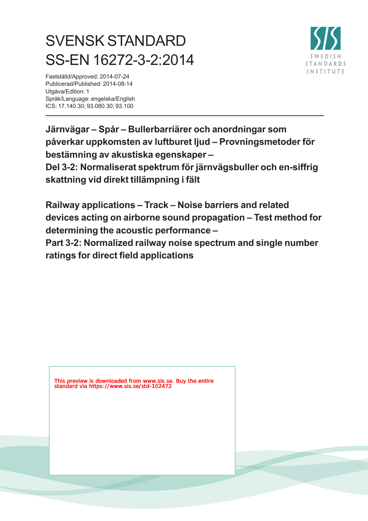# SVENSK STANDARD SS-EN 16272-3-2:2014



Fastställd/Approved: 2014-07-24 Publicerad/Published: 2014-08-14 Utgåva/Edition: 1 Språk/Language: engelska/English ICS: 17.140.30; 93.080.30; 93.100

**Järnvägar – Spår – Bullerbarriärer och anordningar som påverkar uppkomsten av luftburet ljud – Provningsmetoder för bestämning av akustiska egenskaper –** 

**Del 3-2: Normaliserat spektrum för järnvägsbuller och en-siffrig skattning vid direkt tillämpning i fält**

**Railway applications – Track – Noise barriers and related devices acting on airborne sound propagation – Test method for determining the acoustic performance –** 

**Part 3-2: Normalized railway noise spectrum and single number ratings for direct field applications**

This preview is downloaded from www.sis.se. Buy the entire standard via https://www.sis.se/std-102472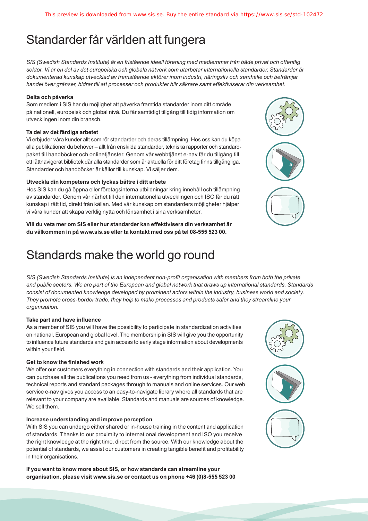# Standarder får världen att fungera

*SIS (Swedish Standards Institute) är en fristående ideell förening med medlemmar från både privat och offentlig sektor. Vi är en del av det europeiska och globala nätverk som utarbetar internationella standarder. Standarder är dokumenterad kunskap utvecklad av framstående aktörer inom industri, näringsliv och samhälle och befrämjar handel över gränser, bidrar till att processer och produkter blir säkrare samt effektiviserar din verksamhet.* 

#### **Delta och påverka**

Som medlem i SIS har du möjlighet att påverka framtida standarder inom ditt område på nationell, europeisk och global nivå. Du får samtidigt tillgång till tidig information om utvecklingen inom din bransch.

#### **Ta del av det färdiga arbetet**

Vi erbjuder våra kunder allt som rör standarder och deras tillämpning. Hos oss kan du köpa alla publikationer du behöver – allt från enskilda standarder, tekniska rapporter och standardpaket till handböcker och onlinetjänster. Genom vår webbtjänst e-nav får du tillgång till ett lättnavigerat bibliotek där alla standarder som är aktuella för ditt företag finns tillgängliga. Standarder och handböcker är källor till kunskap. Vi säljer dem.

#### **Utveckla din kompetens och lyckas bättre i ditt arbete**

Hos SIS kan du gå öppna eller företagsinterna utbildningar kring innehåll och tillämpning av standarder. Genom vår närhet till den internationella utvecklingen och ISO får du rätt kunskap i rätt tid, direkt från källan. Med vår kunskap om standarders möjligheter hjälper vi våra kunder att skapa verklig nytta och lönsamhet i sina verksamheter.

**Vill du veta mer om SIS eller hur standarder kan effektivisera din verksamhet är du välkommen in på www.sis.se eller ta kontakt med oss på tel 08-555 523 00.**

# Standards make the world go round

*SIS (Swedish Standards Institute) is an independent non-profit organisation with members from both the private and public sectors. We are part of the European and global network that draws up international standards. Standards consist of documented knowledge developed by prominent actors within the industry, business world and society. They promote cross-border trade, they help to make processes and products safer and they streamline your organisation.*

#### **Take part and have influence**

As a member of SIS you will have the possibility to participate in standardization activities on national, European and global level. The membership in SIS will give you the opportunity to influence future standards and gain access to early stage information about developments within your field.

#### **Get to know the finished work**

We offer our customers everything in connection with standards and their application. You can purchase all the publications you need from us - everything from individual standards, technical reports and standard packages through to manuals and online services. Our web service e-nav gives you access to an easy-to-navigate library where all standards that are relevant to your company are available. Standards and manuals are sources of knowledge. We sell them.

#### **Increase understanding and improve perception**

With SIS you can undergo either shared or in-house training in the content and application of standards. Thanks to our proximity to international development and ISO you receive the right knowledge at the right time, direct from the source. With our knowledge about the potential of standards, we assist our customers in creating tangible benefit and profitability in their organisations.

**If you want to know more about SIS, or how standards can streamline your organisation, please visit www.sis.se or contact us on phone +46 (0)8-555 523 00**



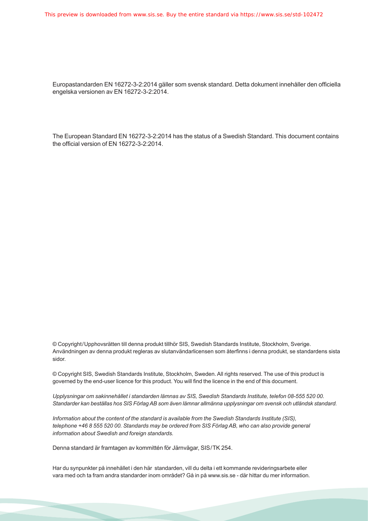Europastandarden EN 16272-3-2:2014 gäller som svensk standard. Detta dokument innehåller den officiella engelska versionen av EN 16272-3-2:2014.

The European Standard EN 16272-3-2:2014 has the status of a Swedish Standard. This document contains the official version of EN 16272-3-2:2014.

© Copyright / Upphovsrätten till denna produkt tillhör SIS, Swedish Standards Institute, Stockholm, Sverige. Användningen av denna produkt regleras av slutanvändarlicensen som återfinns i denna produkt, se standardens sista sidor.

© Copyright SIS, Swedish Standards Institute, Stockholm, Sweden. All rights reserved. The use of this product is governed by the end-user licence for this product. You will find the licence in the end of this document.

*Upplysningar om sakinnehållet i standarden lämnas av SIS, Swedish Standards Institute, telefon 08-555 520 00. Standarder kan beställas hos SIS Förlag AB som även lämnar allmänna upplysningar om svensk och utländsk standard.*

*Information about the content of the standard is available from the Swedish Standards Institute (SIS), telephone +46 8 555 520 00. Standards may be ordered from SIS Förlag AB, who can also provide general information about Swedish and foreign standards.*

Denna standard är framtagen av kommittén för Järnvägar, SIS / TK 254.

Har du synpunkter på innehållet i den här standarden, vill du delta i ett kommande revideringsarbete eller vara med och ta fram andra standarder inom området? Gå in på www.sis.se - där hittar du mer information.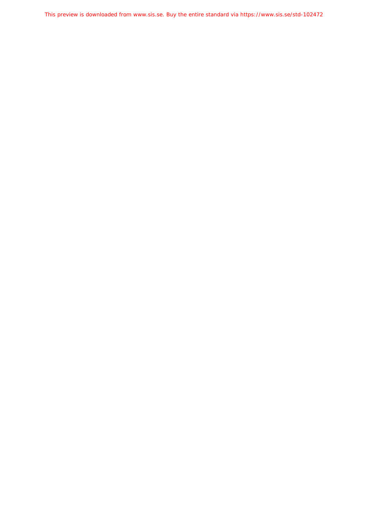This preview is downloaded from www.sis.se. Buy the entire standard via https://www.sis.se/std-102472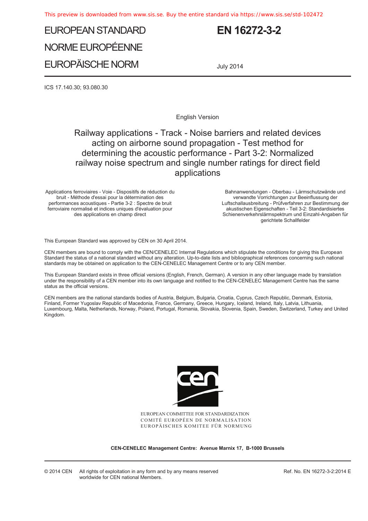This preview is downloaded from www.sis.se. Buy the entire standard via https://www.sis.se/std-102472

# EUROPEAN STANDARD NORME EUROPÉENNE EUROPÄISCHE NORM

# **EN 16272-3-2**

July 2014

ICS 17.140.30; 93.080.30

English Version

# Railway applications - Track - Noise barriers and related devices acting on airborne sound propagation - Test method for determining the acoustic performance - Part 3-2: Normalized railway noise spectrum and single number ratings for direct field applications

Applications ferroviaires - Voie - Dispositifs de réduction du bruit - Méthode d'essai pour la détermination des performances acoustiques - Partie 3-2 : Spectre de bruit ferroviaire normalisé et indices uniques d'évaluation pour des applications en champ direct

Bahnanwendungen - Oberbau - Lärmschutzwände und verwandte Vorrichtungen zur Beeinflussung der Luftschallausbreitung - Prüfverfahren zur Bestimmung der akustischen Eigenschaften - Teil 3-2: Standardisiertes Schienenverkehrslärmspektrum und Einzahl-Angaben für gerichtete Schallfelder

This European Standard was approved by CEN on 30 April 2014.

CEN members are bound to comply with the CEN/CENELEC Internal Regulations which stipulate the conditions for giving this European Standard the status of a national standard without any alteration. Up-to-date lists and bibliographical references concerning such national standards may be obtained on application to the CEN-CENELEC Management Centre or to any CEN member.

This European Standard exists in three official versions (English, French, German). A version in any other language made by translation under the responsibility of a CEN member into its own language and notified to the CEN-CENELEC Management Centre has the same status as the official versions.

CEN members are the national standards bodies of Austria, Belgium, Bulgaria, Croatia, Cyprus, Czech Republic, Denmark, Estonia, Finland, Former Yugoslav Republic of Macedonia, France, Germany, Greece, Hungary, Iceland, Ireland, Italy, Latvia, Lithuania, Luxembourg, Malta, Netherlands, Norway, Poland, Portugal, Romania, Slovakia, Slovenia, Spain, Sweden, Switzerland, Turkey and United Kingdom.



EUROPEAN COMMITTEE FOR STANDARDIZATION COMITÉ EUROPÉEN DE NORMALISATION EUROPÄISCHES KOMITEE FÜR NORMUNG

**CEN-CENELEC Management Centre: Avenue Marnix 17, B-1000 Brussels** 

Ref. No. EN 16272-3-2:2014 E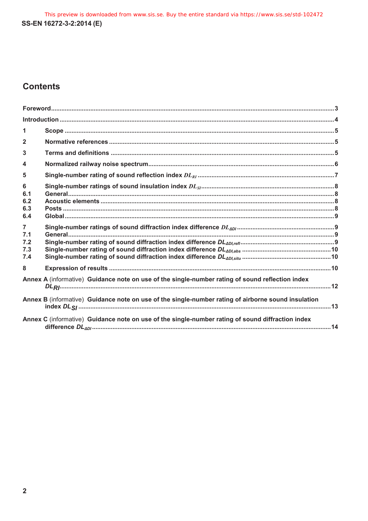This preview is downloaded from www.sis.se. Buy the entire standard via https://www.sis.se/std-102472 SS-EN 16272-3-2:2014 (E)

# **Contents**

| 1                     |                                                                                                     |  |
|-----------------------|-----------------------------------------------------------------------------------------------------|--|
| $\mathbf{2}$          |                                                                                                     |  |
| 3                     |                                                                                                     |  |
| $\boldsymbol{4}$      |                                                                                                     |  |
| 5                     |                                                                                                     |  |
| 6<br>6.1              |                                                                                                     |  |
| 6.2<br>6.3<br>6.4     |                                                                                                     |  |
| $\overline{7}$<br>7.1 |                                                                                                     |  |
| 7.2                   |                                                                                                     |  |
| 7.3<br>7.4            |                                                                                                     |  |
| 8                     |                                                                                                     |  |
|                       | Annex A (informative) Guidance note on use of the single-number rating of sound reflection index    |  |
|                       | Annex B (informative) Guidance note on use of the single-number rating of airborne sound insulation |  |
|                       | Annex C (informative) Guidance note on use of the single-number rating of sound diffraction index   |  |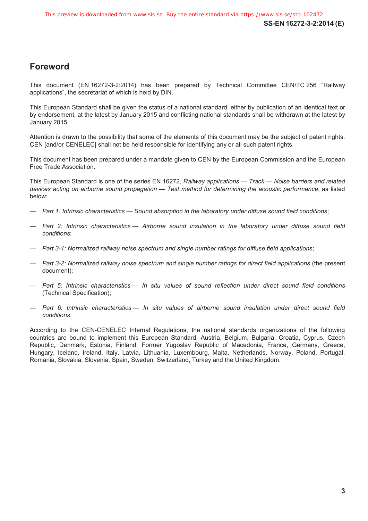# **Foreword**

This document (EN 16272-3-2:2014) has been prepared by Technical Committee CEN/TC 256 "Railway applications", the secretariat of which is held by DIN.

This European Standard shall be given the status of a national standard, either by publication of an identical text or by endorsement, at the latest by January 2015 and conflicting national standards shall be withdrawn at the latest by January 2015.

Attention is drawn to the possibility that some of the elements of this document may be the subject of patent rights. CEN [and/or CENELEC] shall not be held responsible for identifying any or all such patent rights.

This document has been prepared under a mandate given to CEN by the European Commission and the European Free Trade Association.

This European Standard is one of the series EN 16272, *Railway applications — Track — Noise barriers and related devices acting on airborne sound propagation — Test method for determining the acoustic performance*, as listed below:

- *Part 1: Intrinsic characteristics Sound absorption in the laboratory under diffuse sound field conditions*;
- *Part 2: Intrinsic characteristics Airborne sound insulation in the laboratory under diffuse sound field conditions*;
- *Part 3-1: Normalized railway noise spectrum and single number ratings for diffuse field applications*;
- *Part 3-2: Normalized railway noise spectrum and single number ratings for direct field applications* (the present document);
- *Part 5: Intrinsic characteristics In situ values of sound reflection under direct sound field conditions* (Technical Specification);
- *Part 6: Intrinsic characteristics In situ values of airborne sound insulation under direct sound field conditions*.

According to the CEN-CENELEC Internal Regulations, the national standards organizations of the following countries are bound to implement this European Standard: Austria, Belgium, Bulgaria, Croatia, Cyprus, Czech Republic, Denmark, Estonia, Finland, Former Yugoslav Republic of Macedonia, France, Germany, Greece, Hungary, Iceland, Ireland, Italy, Latvia, Lithuania, Luxembourg, Malta, Netherlands, Norway, Poland, Portugal, Romania, Slovakia, Slovenia, Spain, Sweden, Switzerland, Turkey and the United Kingdom.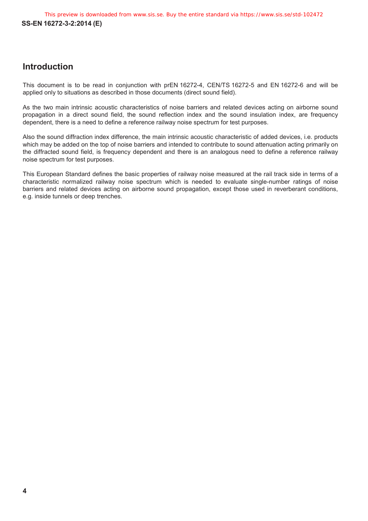# **Introduction**

This document is to be read in conjunction with prEN 16272-4, CEN/TS 16272-5 and EN 16272-6 and will be applied only to situations as described in those documents (direct sound field).

As the two main intrinsic acoustic characteristics of noise barriers and related devices acting on airborne sound propagation in a direct sound field, the sound reflection index and the sound insulation index, are frequency dependent, there is a need to define a reference railway noise spectrum for test purposes.

Also the sound diffraction index difference, the main intrinsic acoustic characteristic of added devices, i.e. products which may be added on the top of noise barriers and intended to contribute to sound attenuation acting primarily on the diffracted sound field, is frequency dependent and there is an analogous need to define a reference railway noise spectrum for test purposes.

This European Standard defines the basic properties of railway noise measured at the rail track side in terms of a characteristic normalized railway noise spectrum which is needed to evaluate single-number ratings of noise barriers and related devices acting on airborne sound propagation, except those used in reverberant conditions, e.g. inside tunnels or deep trenches.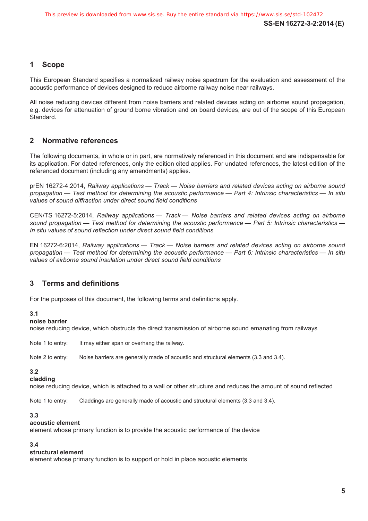### **1 Scope**

This European Standard specifies a normalized railway noise spectrum for the evaluation and assessment of the acoustic performance of devices designed to reduce airborne railway noise near railways.

All noise reducing devices different from noise barriers and related devices acting on airborne sound propagation, e.g. devices for attenuation of ground borne vibration and on board devices, are out of the scope of this European Standard.

## **2 Normative references**

The following documents, in whole or in part, are normatively referenced in this document and are indispensable for its application. For dated references, only the edition cited applies. For undated references, the latest edition of the referenced document (including any amendments) applies.

prEN 16272-4:2014, *Railway applications — Track — Noise barriers and related devices acting on airborne sound propagation — Test method for determining the acoustic performance — Part 4: Intrinsic characteristics — In situ values of sound diffraction under direct sound field conditions*

CEN/TS 16272-5:2014, *Railway applications — Track — Noise barriers and related devices acting on airborne sound propagation — Test method for determining the acoustic performance — Part 5: Intrinsic characteristics — In situ values of sound reflection under direct sound field conditions*

EN 16272-6:2014, *Railway applications — Track — Noise barriers and related devices acting on airborne sound propagation — Test method for determining the acoustic performance — Part 6: Intrinsic characteristics — In situ values of airborne sound insulation under direct sound field conditions*

## **3 Terms and definitions**

For the purposes of this document, the following terms and definitions apply.

#### **3.1**

#### **noise barrier**

noise reducing device, which obstructs the direct transmission of airborne sound emanating from railways

Note 1 to entry: It may either span or overhang the railway.

Note 2 to entry: Noise barriers are generally made of acoustic and structural elements (3.3 and 3.4).

## **3.2**

**cladding**

noise reducing device, which is attached to a wall or other structure and reduces the amount of sound reflected

Note 1 to entry: Claddings are generally made of acoustic and structural elements (3.3 and 3.4).

#### **3.3**

#### **acoustic element**

element whose primary function is to provide the acoustic performance of the device

#### **3.4**

#### **structural element**

element whose primary function is to support or hold in place acoustic elements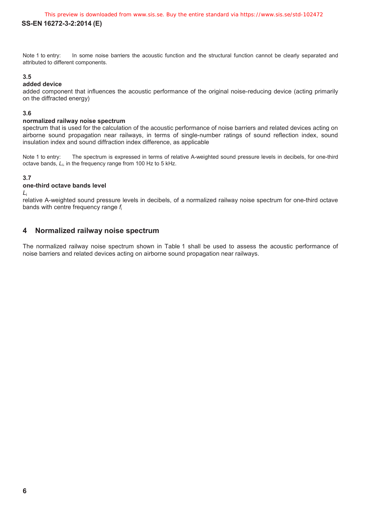**EN 16272-3-2:2014 (E) SS-EN 16272-3-2:2014 (E)** This preview is downloaded from www.sis.se. Buy the entire standard via https://www.sis.se/std-102472

Note 1 to entry: In some noise barriers the acoustic function and the structural function cannot be clearly separated and attributed to different components.

#### **3.5**

#### **added device**

added component that influences the acoustic performance of the original noise-reducing device (acting primarily on the diffracted energy)

#### **3.6**

#### **normalized railway noise spectrum**

spectrum that is used for the calculation of the acoustic performance of noise barriers and related devices acting on airborne sound propagation near railways, in terms of single-number ratings of sound reflection index, sound insulation index and sound diffraction index difference, as applicable

Note 1 to entry: The spectrum is expressed in terms of relative A-weighted sound pressure levels in decibels, for one-third octave bands, *Li*, in the frequency range from 100 Hz to 5 kHz.

#### **3.7**

#### **one-third octave bands level**

*L*i

relative A-weighted sound pressure levels in decibels, of a normalized railway noise spectrum for one-third octave bands with centre frequency range *f*<sup>i</sup>

#### **4 Normalized railway noise spectrum**

The normalized railway noise spectrum shown in Table 1 shall be used to assess the acoustic performance of noise barriers and related devices acting on airborne sound propagation near railways.